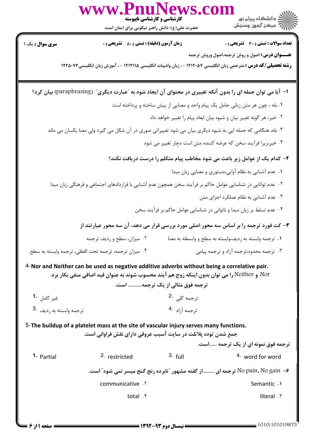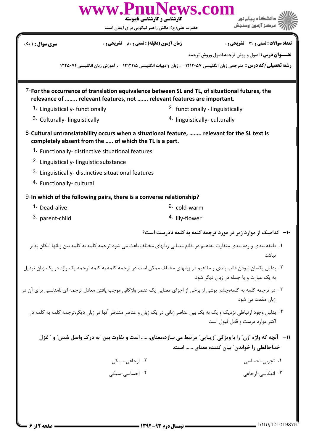|                                                                                                                                                                                                                                                                                                                                                                | www.PnuNews.com<br>کارشناسی و کارشناسی ناپیوسته<br>حضرت علی(ع): دانش راهبر نیکویی برای ایمان است                         |                                                                                                                                                                                 |  |  |
|----------------------------------------------------------------------------------------------------------------------------------------------------------------------------------------------------------------------------------------------------------------------------------------------------------------------------------------------------------------|--------------------------------------------------------------------------------------------------------------------------|---------------------------------------------------------------------------------------------------------------------------------------------------------------------------------|--|--|
| <b>سری سوال : ۱ یک</b>                                                                                                                                                                                                                                                                                                                                         | <b>زمان آزمون (دقیقه) : تستی : 80 ٪ تشریحی : 0</b>                                                                       | تعداد سوالات : تستي : 30 ٪ تشريحي : 0                                                                                                                                           |  |  |
|                                                                                                                                                                                                                                                                                                                                                                |                                                                                                                          | <b>عنـــوان درس :</b> اصول و روش ترجمه،اصول وروش ترجمه<br><b>رشته تحصیلی/کد درس :</b> مترجمی زبان انگلیسی ۱۲۱۲۰۵۷ - ، زبان وادبیات انگلیسی ۱۲۱۲۱۱۵ - ، آموزش زبان انگلیسی۲۲۵۰۷۴ |  |  |
| 7-For the occurrence of translation equivalence between SL and TL, of situational futures, the<br>relevance of  relevant features, not  relevant features are important.                                                                                                                                                                                       |                                                                                                                          |                                                                                                                                                                                 |  |  |
| 1. Linguistically-functionally                                                                                                                                                                                                                                                                                                                                 |                                                                                                                          | <sup>2</sup> functionally - linguistically                                                                                                                                      |  |  |
| 3. Culturally-linguistically                                                                                                                                                                                                                                                                                                                                   |                                                                                                                          | <sup>4.</sup> linguistically-culturally                                                                                                                                         |  |  |
| 8-Cultural untranslatability occurs when a situational feature,  relevant for the SL text is<br>completely absent from the  of which the TL is a part.<br>1. Functionally- distinctive situational features<br><sup>2.</sup> Linguistically-linguistic substance<br>3. Linguistically- distinctive situational features<br><sup>4.</sup> Functionally-cultural |                                                                                                                          |                                                                                                                                                                                 |  |  |
|                                                                                                                                                                                                                                                                                                                                                                | 9-In which of the following pairs, there is a converse relationship?                                                     |                                                                                                                                                                                 |  |  |
| 1. Dead-alive                                                                                                                                                                                                                                                                                                                                                  | <sup>2.</sup> cold-warm                                                                                                  |                                                                                                                                                                                 |  |  |
| 3. parent-child                                                                                                                                                                                                                                                                                                                                                | <sup>4.</sup> lily-flower                                                                                                |                                                                                                                                                                                 |  |  |
|                                                                                                                                                                                                                                                                                                                                                                |                                                                                                                          | <b>۱۰</b> - کدامیک از موارد زیر در مورد ترجمه کلمه به کلمه نادرست است؟                                                                                                          |  |  |
| ١. طبقه بندى و رده بندى متفاوت مفاهيم در نظام معنايي زبانهاى مختلف باعث مى شود ترجمه كلمه به كلمه بين زبانها امكان پذير<br>نباشد                                                                                                                                                                                                                               |                                                                                                                          |                                                                                                                                                                                 |  |  |
|                                                                                                                                                                                                                                                                                                                                                                | ۲ . بدلیل یکسان نبودن قالب بندی و مفاهیم در زبانهای مختلف ممکن است در ترجمه کلمه به کلمه ترجمه یک واژه در یک زبان تبدیل  | به یک عبارت و یا جمله در زبان دیگر شود                                                                                                                                          |  |  |
|                                                                                                                                                                                                                                                                                                                                                                | ۰۳ در ترجمه کلمه به کلمه،چشم پوشی از برخی از اجزای معنایی یک عنصر واژگانی موجب یافتن معادل ترجمه ای نامناسبی برای آن در  | زبان مقصد می شود                                                                                                                                                                |  |  |
|                                                                                                                                                                                                                                                                                                                                                                | ۰۴ بدلیل وجود ارتباطی نزدیک و یک به یک بین عناصر زبانی در یک زبان و عناصر متناظر آنها در زبان دیگر،ترجمه کلمه به کلمه در | اکثر موارد درست و قابل قبول است                                                                                                                                                 |  |  |
| 11-    آنچه که واژه "زن " را با ویژگی "زیبایی" مرتبط می سازد،معنای است و تفاوت بین "به درک واصل شدن" و " غزل<br>خداحافظی را خواندن″ بیان کننده معنای  است.                                                                                                                                                                                                     |                                                                                                                          |                                                                                                                                                                                 |  |  |
|                                                                                                                                                                                                                                                                                                                                                                | ٠٢ ارجاعي-سبكي                                                                                                           | ۰۱ تجربی-احساسی                                                                                                                                                                 |  |  |
|                                                                                                                                                                                                                                                                                                                                                                | ۰۴ احساسی-سبکی                                                                                                           | ۰۳ انعکاسی-ارجاعی                                                                                                                                                               |  |  |
|                                                                                                                                                                                                                                                                                                                                                                |                                                                                                                          |                                                                                                                                                                                 |  |  |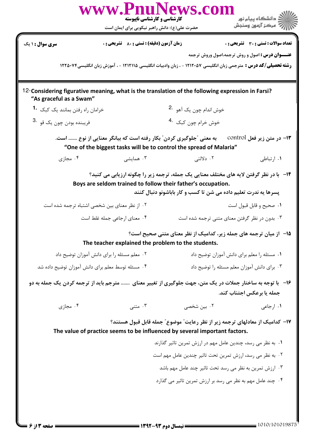|                                                                                                                                                                                                                           | کارشناسی و کارشناسی ناپیوسته<br>حضرت علی(ع): دانش راهبر نیکویی برای ایمان است | www.PnuNews.com                                             | گ دانشگاه پیام نو <b>ر</b><br>رآب آمرڪز آزمون وسنڊش |  |
|---------------------------------------------------------------------------------------------------------------------------------------------------------------------------------------------------------------------------|-------------------------------------------------------------------------------|-------------------------------------------------------------|-----------------------------------------------------|--|
| سری سوال : ۱ یک                                                                                                                                                                                                           | زمان آزمون (دقيقه) : تستى : 80 گشريحى : 0                                     |                                                             | <b>تعداد سوالات : تستی : 30 ٪ تشریحی : 0</b>        |  |
| <b>عنـــوان درس :</b> اصول و روش ترجمه،اصول وروش ترجمه<br><b>رشته تحصیلی/کد درس :</b> مترجمی زبان انگلیسی ۱۲۱۲۰۵۷ - ، زبان وادبیات انگلیسی ۱۲۱۲۱۱۵ - ، آموزش زبان انگلیسی۱۲۲۵۰۷۴                                          |                                                                               |                                                             |                                                     |  |
| 12-Considering figurative meaning, what is the translation of the following expression in Farsi?<br>"As graceful as a Swam"                                                                                               |                                                                               |                                                             |                                                     |  |
| خرامان راه رفتن بمانند يک کبک 1.                                                                                                                                                                                          |                                                                               | خوش اندام چون یک آهو 2.                                     |                                                     |  |
| فريبنده بودن چون يک قو <sup>.3</sup>                                                                                                                                                                                      |                                                                               | خوش خرام چون کبک <sup>.4</sup>                              |                                                     |  |
| به معنی "جلوگیری کردن" بکار رفته است که بیانگر معنایی از نوع  است.<br><b>۱۳</b> – در متن زیر فعل control<br>"One of the biggest tasks will be to control the spread of Malaria"                                           |                                                                               |                                                             |                                                     |  |
| ۰۴ مجازی                                                                                                                                                                                                                  | ۰۳ همایشی                                                                     | ۰۲ دلالتی                                                   | ١. ارتباطي                                          |  |
| ۱۴- با در نظر گرفتن لایه های مختلف معنایی یک جمله، ترجمه زیر را چگونه ارزیابی می کنید؟<br>Boys are seldom trained to follow their father's occupation.<br>پسرها یه ندرت تعلیم داده می شن تا کسب و کار باباشونو دنبال کنند |                                                                               |                                                             |                                                     |  |
| ٠٢ از نظر معناى بين شخصى اشتباه ترجمه شده است                                                                                                                                                                             |                                                                               |                                                             | ٠١ صحيح و قابل قبول است                             |  |
|                                                                                                                                                                                                                           | ۰۴ معنای ارجاعی جمله غلط است                                                  |                                                             | ۰۳ بدون در نظر گرفتن معنای متنی ترجمه شده است       |  |
| ۱۵− از میان ترجمه های جمله زیر، کدامیک از نظر معنای متنی صحیح است؟<br>The teacher explained the problem to the students.                                                                                                  |                                                                               |                                                             |                                                     |  |
| ٠٢ معلم مسئله را براى دانش آموزان توضيح داد                                                                                                                                                                               |                                                                               |                                                             | ۰۱ مسئله را معلم برای دانش آموزان توضیح داد         |  |
| ۰۴ مسئله توسط معلم برای دانش آموزان توضیح داده شد                                                                                                                                                                         |                                                                               |                                                             | ۰۳ برای دانش آموزان معلم مسئله را توضیح داد         |  |
| ۱۶– با توجه به ساختار جملات در یک متن، جهت جلوگیری از تغییر معنای  مترجم باید از ترجمه کردن یک جمله به دو                                                                                                                 |                                                                               |                                                             | جمله یا برعکس اجتناب کند.                           |  |
| ۰۴ مجازی                                                                                                                                                                                                                  | ۰۳ متنی                                                                       | ۰۲ بین شخصی                                                 | ۰۱ ا <sub>ر</sub> جاعی                              |  |
| ۱۷– کدامیک از معادلهای ترجمه زیر از نظر رعایت" موضوع" جمله قابل قبول هستند؟<br>The value of practice seems to be influenced by several important factors.                                                                 |                                                                               |                                                             |                                                     |  |
|                                                                                                                                                                                                                           |                                                                               | ۰۱ به نظر می رسد، چندین عامل مهم در ارزش تمرین تاثیر گذارند |                                                     |  |
|                                                                                                                                                                                                                           |                                                                               | ٠٢ به نظر مي رسد، ارزش تمرين تحت تاثير چندين عامل مهم است   |                                                     |  |
|                                                                                                                                                                                                                           |                                                                               | ۰۳ ارزش تمرین به نظر می رسد تحت تاثیر چند عامل مهم باشد     |                                                     |  |
|                                                                                                                                                                                                                           |                                                                               | ۰۴ چند عامل مهم به نظر می رسد بر ارزش تمرین تاثیر می گذارد  |                                                     |  |
|                                                                                                                                                                                                                           |                                                                               |                                                             |                                                     |  |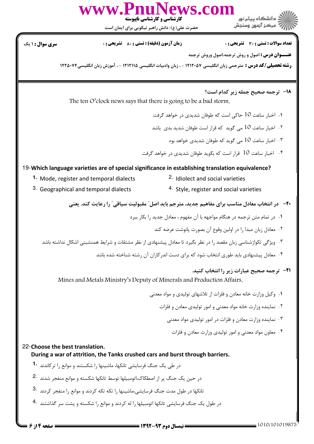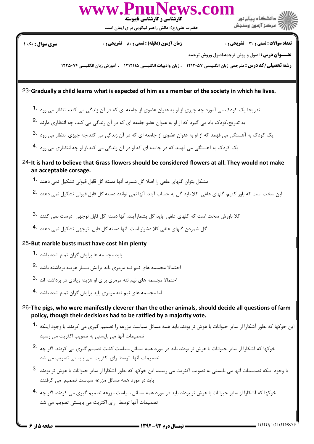

حضرت علي(ع): دانش راهبر نيكويي براي ايمان است

، دانشگاه بیام نور ً مرڪز آزمون وسنڊش

نعداد سوالات : تستي : 30 ٪ تشريحي : . زمان آزمون (دقيقه) : تستي : 80 ٪ تشريحي : . سري سوال : يک 1

**عنـــوان درس :** اصول و روش ترجمه،اصول وروش ترجمه

ر**شته تحصیلی/کد درس :** مترجمی زبان انگلیسی ۱۲۱۲۰۵۷ - ، زبان وادبیات انگلیسی ۱۲۱۲۱۱۵ - ، آموزش زبان انگلیسی۲۲۲۵۰۷۴

23-Gradually a child learns what is expected of him as a member of the society in which he lives.

- ۔<br>تدریجا یک کودک می آموزد چه چیزی از او به عنوان عضوی از جامعه ای که در آن زندگی می کند، انتظار می رود **1**۰
- به تدریج،کودک یاد می گیرد که از او به عنوان عضو جامعه ای که در آن زندگی می کند، چه انتظاری دارند .2
- $^3$ . کودک به آهستگی می فهمد که از او به عنوان عضوی از جامعه ای که در آن زندگی می کند،چه چیزی انتظار می رود
- یک کودک به آهستگی می فهمد که در جامعه ای که او در آن زندگی می کند،از او چه انتظاری می رود .4
- 24-It is hard to believe that Grass flowers should be considered flowers at all. They would not make an acceptable corsage.
	- مشکل بتوان گلهای علفی را اصلا گل شمرد. آنها دسته گل قابل قبولی تشکیل نمی دهند **1**۰
	- ین سخت است که باور کنیم، گلهای علفی کلا باید گل به حساب آیند. آنها نمی توانند دسته گل قابل قبولی تشکیل نمی دهند .2
	- کلا باورش سخت است که گلهای علفی باید گل بشمارآیند. آنها دسته گل قابل توجهی درست نمی کنند .3
	- گل شمردن گلهای علفی کلا دشوار است. آنها دسته گل قابل توجهی تشکیل نمی دهند .4

## 25-But marble busts must have cost him plenty

- باید مجسمه ها برایش گران تمام شده باشد **1**۰
- 'حتمالا مجسمه های نیم تنه مرمری باید برایش بسیار هزینه برداشته باشد  $\cdot$ 2
- 3. حتمالا مجسمه های نیم تنه مرمری برای او هزینه زیادی در برداشته اند
- اما مجسمه های نیم تنه مرمری باید برایش گران تمام شده باشد <sup>۹۰</sup>
- 26-The pigs, who were manifestly cleverer than the other animals, should decide all questions of farm policy, though their decisions had to be ratified by a majority vote.
	- ین خوکها که بطور آشکارا از سایر حیوانات با هوش تر بودند باید همه مسائل سیاست مزرعه را تصمیم گیری می کردند. با وجود اینکه **1۰** تصمیمات آنها می بایستی به تصویب اکثریت می رسید
	- .<br>خوکها که آشکارا از سایر حیوانات با هوش تر بودند باید در مورد همه مسائل سیاست کشت تصمیم گیری می کردند. اگر چه <sup>2</sup>۰ تصمیمات آنها توسط رای اکثریت می بایستی تصویب می شد
	- .<br>با وجود اينكه تصميمات آنها مى بايستى به تصويب اكثريت مى رسيد، اين خوكها كه بطور آشكارا از ساير حيوانات با هوش تر بودند باید در مورد همه مسائل مزرعه سیاست تصمیم ًمی گرفتند
	- .<br>خوکها که آشکارا از سایر حیوانات با هوش تر بودند باید در مورد همه مسائل سیاست مزرعه تصمیم گیری می کردند، اگر چه تصمیمات آنها توسط رای اکثریت می بایستی تصویب می شد